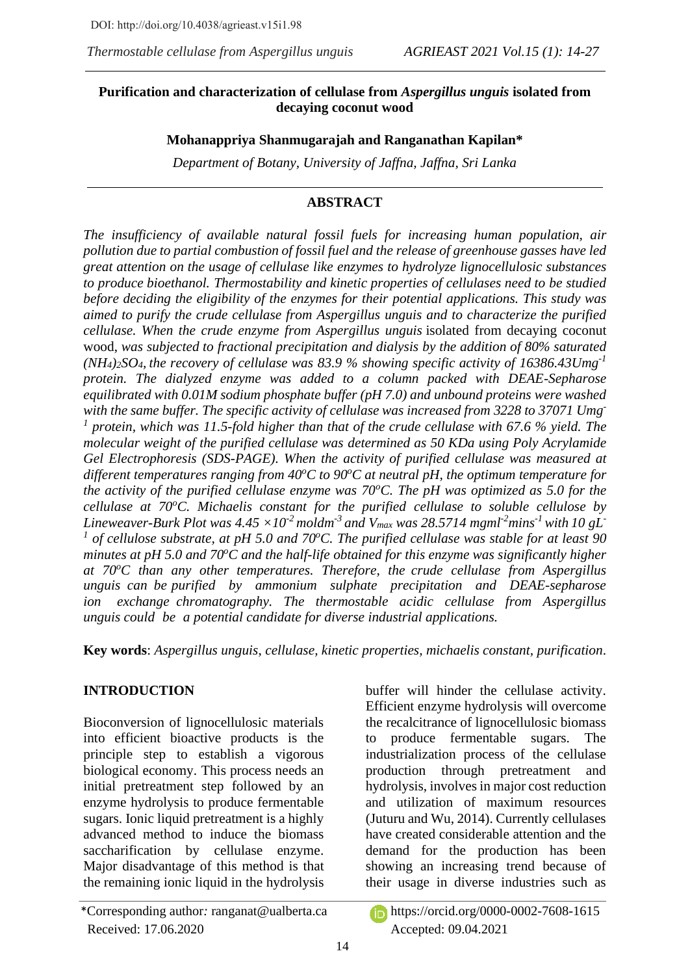## **Purification and characterization of cellulase from** *Aspergillus unguis* **isolated from decaying coconut wood**

## **Mohanappriya Shanmugarajah and Ranganathan Kapilan\***

*Department of Botany, University of Jaffna, Jaffna, Sri Lanka*

# **ABSTRACT**

*The insufficiency of available natural fossil fuels for increasing human population, air pollution due to partial combustion of fossil fuel and the release of greenhouse gasses have led great attention on the usage of cellulase like enzymes to hydrolyze lignocellulosic substances to produce bioethanol. Thermostability and kinetic properties of cellulases need to be studied before deciding the eligibility of the enzymes for their potential applications. This study was aimed to purify the crude cellulase from Aspergillus unguis and to characterize the purified cellulase. When the crude enzyme from Aspergillus unguis* isolated from decaying coconut wood, *was subjected to fractional precipitation and dialysis by the addition of 80% saturated (NH4)2SO4, the recovery of cellulase was 83.9 % showing specific activity of 16386.43Umg-1 protein. The dialyzed enzyme was added to a column packed with DEAE-Sepharose equilibrated with 0.01M sodium phosphate buffer (pH 7.0) and unbound proteins were washed with the same buffer. The specific activity of cellulase was increased from 3228 to 37071 Umg-*<sup>1</sup> protein, which was 11.5-fold higher than that of the crude cellulase with 67.6 % yield. The *molecular weight of the purified cellulase was determined as 50 KDa using Poly Acrylamide Gel Electrophoresis (SDS-PAGE). When the activity of purified cellulase was measured at different temperatures ranging from 40<sup>o</sup>C to 90<sup>o</sup>C at neutral pH, the optimum temperature for the activity of the purified cellulase enzyme was 70<sup>o</sup>C. The pH was optimized as 5.0 for the cellulase at 70<sup>o</sup>C. Michaelis constant for the purified cellulase to soluble cellulose by Lineweaver-Burk Plot was*  $4.45 \times 10^{-2}$  *moldm<sup>-3</sup> and V<sub>max</sub> was 28.5714 mgml<sup>-2</sup><i>mins<sup>-1</sup> with* 10 gL<sup>-</sup> <sup>1</sup> of cellulose substrate, at pH 5.0 and 70<sup>o</sup>C. The purified cellulase was stable for at least 90 *minutes at pH 5.0 and 70<sup>o</sup>C and the half-life obtained for this enzyme was significantly higher at 70<sup>o</sup>C than any other temperatures. Therefore, the crude cellulase from Aspergillus*  an your many such the product of the precipitation and DEAE-sepharose *ion exchange chromatography. The thermostable acidic cellulase from Aspergillus unguis could be a potential candidate for diverse industrial applications.*

**Key words**: *Aspergillus unguis*, *cellulase, kinetic properties, michaelis constant, purification*.

# **INTRODUCTION**

Bioconversion of lignocellulosic materials into efficient bioactive products is the principle step to establish a vigorous biological economy. This process needs an initial pretreatment step followed by an enzyme hydrolysis to produce fermentable sugars. Ionic liquid pretreatment is a highly advanced method to induce the biomass saccharification by cellulase enzyme. Major disadvantage of this method is that the remaining ionic liquid in the hydrolysis buffer will hinder the cellulase activity. Efficient enzyme hydrolysis will overcome the recalcitrance of lignocellulosic biomass to produce fermentable sugars. The industrialization process of the cellulase production through pretreatment and hydrolysis, involves in major cost reduction and utilization of maximum resources (Juturu and Wu, 2014). Currently cellulases have created considerable attention and the demand for the production has been showing an increasing trend because of their usage in diverse industries such as

<sup>\*</sup>Corresponding author*:* [ranganat@ualberta.ca](mailto:ranganat@ualberta.ca) https://orcid.org/0000-0002-7608-1615 Received: 17.06.2020 Accepted: 09.04.2021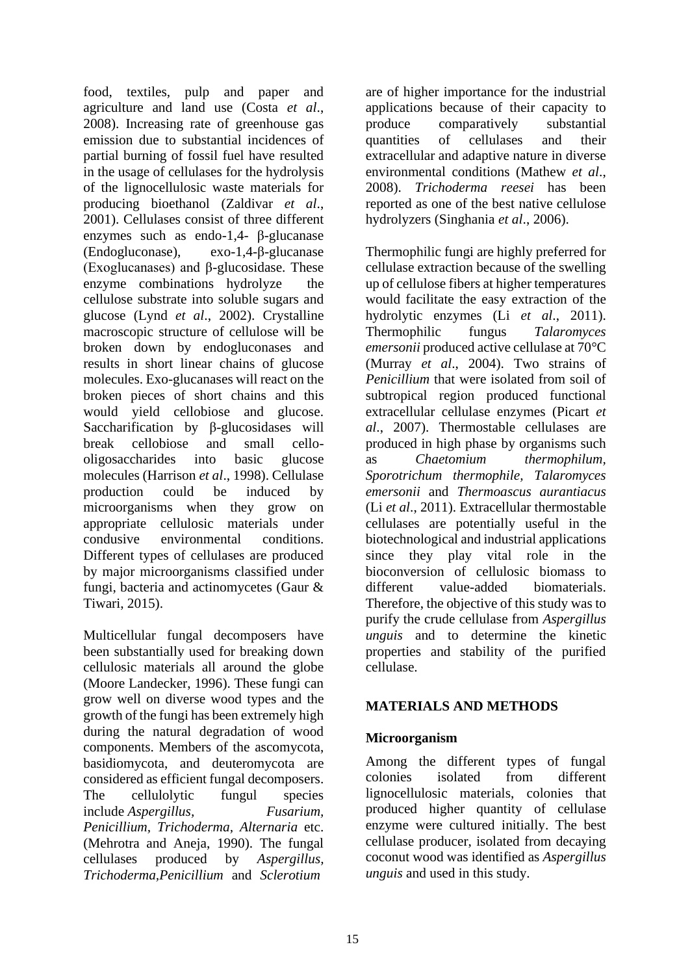food, textiles, pulp and paper and agriculture and land use (Costa *et al*., 2008). Increasing rate of greenhouse gas emission due to substantial incidences of partial burning of fossil fuel have resulted in the usage of cellulases for the hydrolysis of the lignocellulosic waste materials for producing bioethanol (Zaldivar *et al*., 2001). Cellulases consist of three different enzymes such as endo-1,4- β-glucanase (Endogluconase), exo-1,4-β-glucanase (Exoglucanases) and β-glucosidase. These enzyme combinations hydrolyze the cellulose substrate into soluble sugars and glucose (Lynd *et al*., 2002). Crystalline macroscopic structure of cellulose will be broken down by endogluconases and results in short linear chains of glucose molecules. Exo-glucanases will react on the broken pieces of short chains and this would yield cellobiose and glucose. Saccharification by β-glucosidases will break cellobiose and small cellooligosaccharides into basic glucose molecules (Harrison *et al*., 1998). Cellulase production could be induced by microorganisms when they grow on appropriate cellulosic materials under condusive environmental conditions. Different types of cellulases are produced by major microorganisms classified under fungi, bacteria and actinomycetes (Gaur & Tiwari, 2015).

Multicellular fungal decomposers have been substantially used for breaking down cellulosic materials all around the globe (Moore Landecker, 1996). These fungi can grow well on diverse wood types and the growth of the fungi has been extremely high during the natural degradation of wood components. Members of the ascomycota, basidiomycota, and deuteromycota are considered as efficient fungal decomposers.<br>The cellulolytic fungul species The cellulolytic fungul species include *Aspergillus, Fusarium, Penicillium, Trichoderma, Alternaria* etc. (Mehrotra and Aneja, 1990). The fungal cellulases produced by *Aspergillus, Trichoderma,Penicillium* and *Sclerotium*

are of higher importance for the industrial applications because of their capacity to produce comparatively substantial quantities of cellulases and their extracellular and adaptive nature in diverse environmental conditions (Mathew *et al*., 2008). *Trichoderma reesei* has been reported as one of the best native cellulose hydrolyzers (Singhania *et al*., 2006).

Thermophilic fungi are highly preferred for cellulase extraction because of the swelling up of cellulose fibers at higher temperatures would facilitate the easy extraction of the hydrolytic enzymes (Li *et al*., 2011). Thermophilic fungus *Talaromyces emersonii* produced active cellulase at 70°C (Murray *et al*., 2004). Two strains of *Penicillium* that were isolated from soil of subtropical region produced functional extracellular cellulase enzymes (Picart *et al*., 2007). Thermostable cellulases are produced in high phase by organisms such as *Chaetomium thermophilum, Sporotrichum thermophile, Talaromyces emersonii* and *Thermoascus aurantiacus* (Li *et al*., 2011). Extracellular thermostable cellulases are potentially useful in the biotechnological and industrial applications since they play vital role in the bioconversion of cellulosic biomass to different value-added biomaterials. Therefore, the objective of this study was to purify the crude cellulase from *Aspergillus unguis* and to determine the kinetic properties and stability of the purified cellulase.

### **MATERIALS AND METHODS**

## **Microorganism**

Among the different types of fungal colonies isolated from different lignocellulosic materials, colonies that produced higher quantity of cellulase enzyme were cultured initially. The best cellulase producer, isolated from decaying coconut wood was identified as *Aspergillus unguis* and used in this study.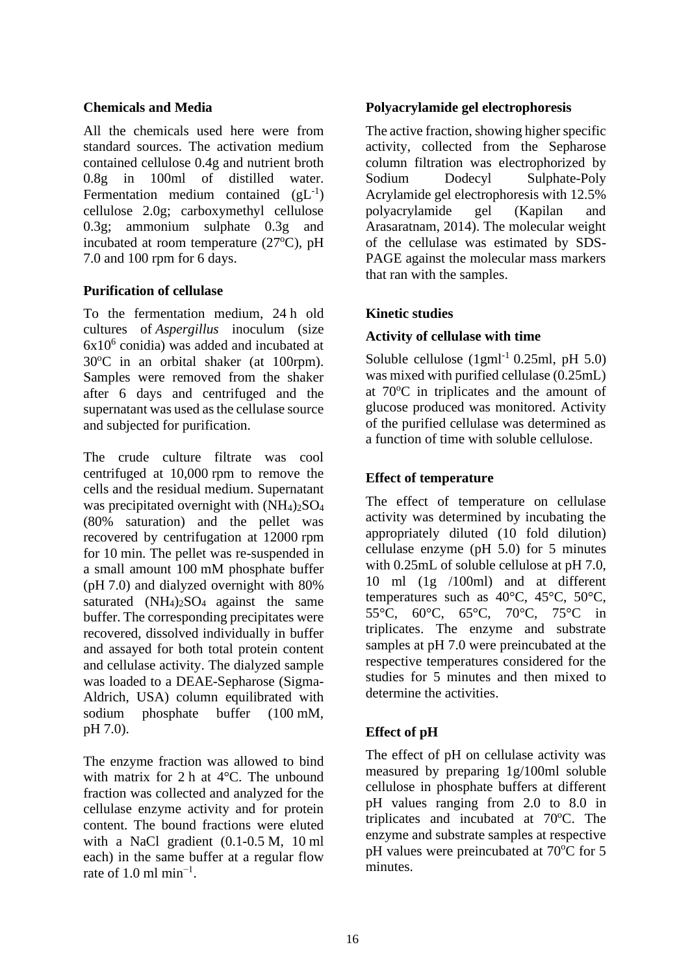#### **Chemicals and Media**

All the chemicals used here were from standard sources. The activation medium contained cellulose 0.4g and nutrient broth 0.8g in 100ml of distilled water. Fermentation medium contained  $(gL^{-1})$ cellulose 2.0g; carboxymethyl cellulose 0.3g; ammonium sulphate 0.3g and incubated at room temperature  $(27^{\circ}C)$ , pH 7.0 and 100 rpm for 6 days.

## **Purification of cellulase**

To the fermentation medium, 24 h old cultures of *Aspergillus* inoculum (size  $6x10<sup>6</sup>$  conidia) was added and incubated at 30°C in an orbital shaker (at 100rpm). Samples were removed from the shaker after 6 days and centrifuged and the supernatant was used as the cellulase source and subjected for purification.

The crude culture filtrate was cool centrifuged at 10,000 rpm to remove the cells and the residual medium. Supernatant was precipitated overnight with  $(NH_4)_2SO_4$ (80% saturation) and the pellet was recovered by centrifugation at 12000 rpm for 10 min. The pellet was re-suspended in a small amount 100 mM phosphate buffer (pH 7.0) and dialyzed overnight with 80% saturated  $(NH_4)_2SO_4$  against the same buffer. The corresponding precipitates were recovered, dissolved individually in buffer and assayed for both total protein content and cellulase activity. The dialyzed sample was loaded to a DEAE-Sepharose (Sigma-Aldrich, USA) column equilibrated with sodium phosphate buffer (100 mM, pH 7.0).

The enzyme fraction was allowed to bind with matrix for 2 h at 4°C. The unbound fraction was collected and analyzed for the cellulase enzyme activity and for protein content. The bound fractions were eluted with a NaCl gradient (0.1-0.5 M, 10 ml each) in the same buffer at a regular flow rate of 1.0 ml min<sup>-1</sup>.

### **Polyacrylamide gel electrophoresis**

The active fraction, showing higher specific activity, collected from the Sepharose column filtration was electrophorized by Sodium Dodecyl Sulphate-Poly Acrylamide gel electrophoresis with 12.5% polyacrylamide gel (Kapilan and Arasaratnam, 2014). The molecular weight of the cellulase was estimated by SDS-PAGE against the molecular mass markers that ran with the samples.

## **Kinetic studies**

### **Activity of cellulase with time**

Soluble cellulose  $(1gml<sup>-1</sup> 0.25ml, pH 5.0)$ was mixed with purified cellulase (0.25mL) at  $70^{\circ}$ C in triplicates and the amount of glucose produced was monitored. Activity of the purified cellulase was determined as a function of time with soluble cellulose.

## **Effect of temperature**

The effect of temperature on cellulase activity was determined by incubating the appropriately diluted (10 fold dilution) cellulase enzyme (pH 5.0) for 5 minutes with 0.25mL of soluble cellulose at pH 7.0, 10 ml (1g /100ml) and at different temperatures such as 40°C, 45°C, 50°C, 55°C, 60°C, 65°C, 70°C, 75°C in triplicates. The enzyme and substrate samples at pH 7.0 were preincubated at the respective temperatures considered for the studies for 5 minutes and then mixed to determine the activities.

## **Effect of pH**

The effect of pH on cellulase activity was measured by preparing 1g/100ml soluble cellulose in phosphate buffers at different pH values ranging from 2.0 to 8.0 in triplicates and incubated at  $70^{\circ}$ C. The enzyme and substrate samples at respective pH values were preincubated at 70°C for 5 minutes.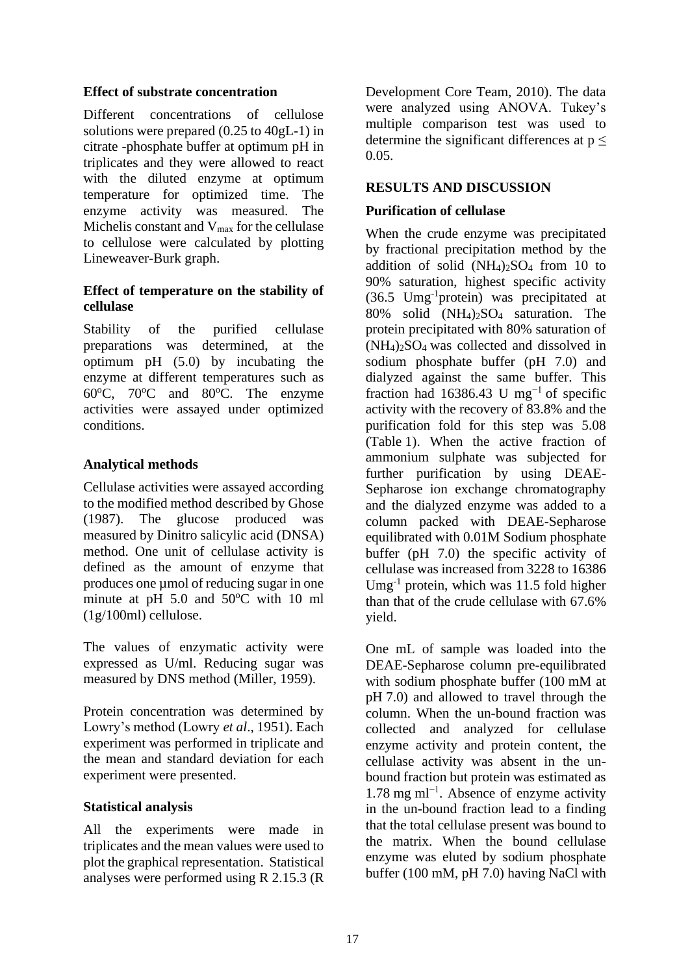#### **Effect of substrate concentration**

Different concentrations of cellulose solutions were prepared (0.25 to 40gL-1) in citrate -phosphate buffer at optimum pH in triplicates and they were allowed to react with the diluted enzyme at optimum temperature for optimized time. The enzyme activity was measured. The Michelis constant and  $V_{\text{max}}$  for the cellulase to cellulose were calculated by plotting Lineweaver-Burk graph.

### **Effect of temperature on the stability of cellulase**

Stability of the purified cellulase preparations was determined, at the optimum pH (5.0) by incubating the enzyme at different temperatures such as  $60^{\circ}$ C,  $70^{\circ}$ C and  $80^{\circ}$ C. The enzyme activities were assayed under optimized conditions.

## **Analytical methods**

Cellulase activities were assayed according to the modified method described by Ghose (1987). The glucose produced was measured by Dinitro salicylic acid (DNSA) method. One unit of cellulase activity is defined as the amount of enzyme that produces one µmol of reducing sugar in one minute at pH  $5.0$  and  $50^{\circ}$ C with 10 ml (1g/100ml) cellulose.

The values of enzymatic activity were expressed as U/ml. Reducing sugar was measured by DNS method (Miller, 1959).

Protein concentration was determined by Lowry's method (Lowry *et al*., 1951). Each experiment was performed in triplicate and the mean and standard deviation for each experiment were presented.

### **Statistical analysis**

All the experiments were made in triplicates and the mean values were used to plot the graphical representation. Statistical analyses were performed using R 2.15.3 (R Development Core Team, 2010). The data were analyzed using ANOVA. Tukey's multiple comparison test was used to determine the significant differences at  $p \leq$ 0.05.

## **RESULTS AND DISCUSSION**

## **Purification of cellulase**

When the crude enzyme was precipitated by fractional precipitation method by the addition of solid  $(NH_4)_2SO_4$  from 10 to 90% saturation, highest specific activity (36.5 Umg-1 protein) was precipitated at 80% solid  $(NH_4)$ <sub>2</sub>SO<sub>4</sub> saturation. The protein precipitated with 80% saturation of (NH4)2SO4 was collected and dissolved in sodium phosphate buffer (pH 7.0) and dialyzed against the same buffer. This fraction had 16386.43 U mg<sup>-1</sup> of specific activity with the recovery of 83.8% and the purification fold for this step was 5.08 (Table [1\)](https://www.ncbi.nlm.nih.gov/pmc/articles/PMC4377051/table/Tab1/). When the active fraction of ammonium sulphate was subjected for further purification by using DEAE-Sepharose ion exchange chromatography and the dialyzed enzyme was added to a column packed with DEAE-Sepharose equilibrated with 0.01M Sodium phosphate buffer (pH 7.0) the specific activity of cellulase was increased from 3228 to 16386 Umg<sup>-1</sup> protein, which was 11.5 fold higher than that of the crude cellulase with 67.6% yield.

One mL of sample was loaded into the DEAE-Sepharose column pre-equilibrated with sodium phosphate buffer (100 mM at pH 7.0) and allowed to travel through the column. When the un-bound fraction was collected and analyzed for cellulase enzyme activity and protein content, the cellulase activity was absent in the unbound fraction but protein was estimated as 1.78 mg ml−1 . Absence of enzyme activity in the un-bound fraction lead to a finding that the total cellulase present was bound to the matrix. When the bound cellulase enzyme was eluted by sodium phosphate buffer (100 mM, pH 7.0) having NaCl with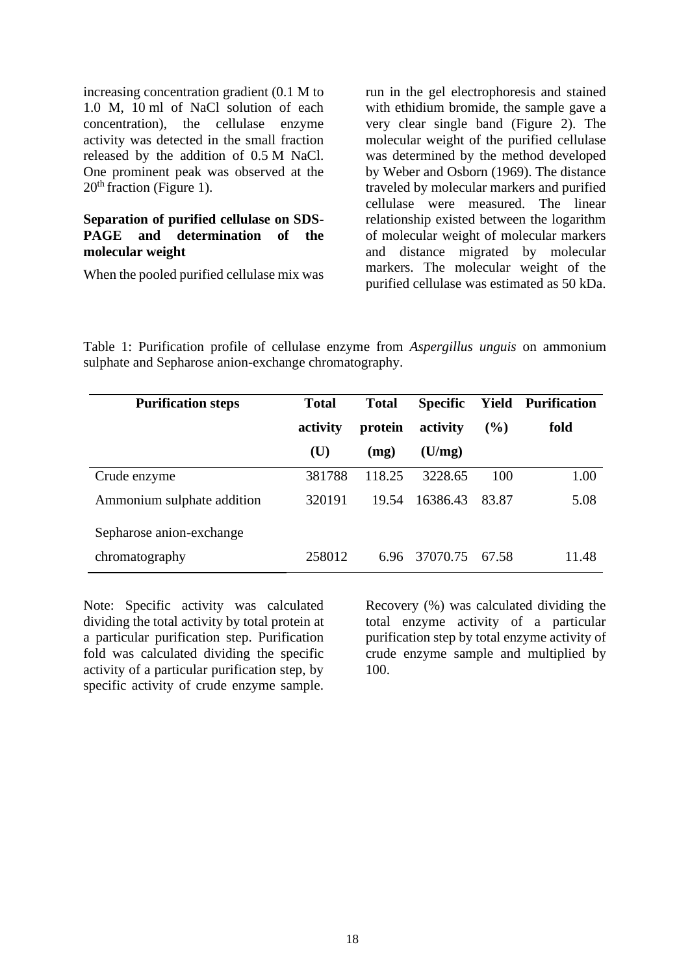increasing concentration gradient (0.1 M to 1.0 M, 10 ml of NaCl solution of each concentration), the cellulase enzyme activity was detected in the small fraction released by the addition of 0.5 M NaCl. One prominent peak was observed at the  $20<sup>th</sup>$  fraction (Figure 1).

#### **Separation of purified cellulase on SDS-PAGE and determination of the molecular weight**

When the pooled purified cellulase mix was

run in the gel electrophoresis and stained with ethidium bromide, the sample gave a very clear single band (Figure 2). The molecular weight of the purified cellulase was determined by the method developed by Weber and Osborn (1969). The distance traveled by molecular markers and purified cellulase were measured. The linear relationship existed between the logarithm of molecular weight of molecular markers and distance migrated by molecular markers. The molecular weight of the purified cellulase was estimated as 50 kDa.

Table 1: Purification profile of cellulase enzyme from *Aspergillus unguis* on ammonium sulphate and Sepharose anion-exchange chromatography.

| <b>Purification steps</b>  | <b>Total</b> | <b>Total</b> | <b>Specific</b> | Yield   | <b>Purification</b> |
|----------------------------|--------------|--------------|-----------------|---------|---------------------|
|                            | activity     | protein      | activity        | $($ %)  | fold                |
|                            | (U)          | (mg)         | (U/mg)          |         |                     |
| Crude enzyme               | 381788       | 118.25       | 3228.65         | 100     | 1.00                |
| Ammonium sulphate addition | 320191       | 19.54        | 16386.43        | 83.87   | 5.08                |
| Sepharose anion-exchange   |              |              |                 |         |                     |
| chromatography             | 258012       | 6.96         | 37070.75        | - 67.58 | 11.48               |

Note: Specific activity was calculated dividing the total activity by total protein at a particular purification step. Purification fold was calculated dividing the specific activity of a particular purification step, by specific activity of crude enzyme sample. Recovery (%) was calculated dividing the total enzyme activity of a particular purification step by total enzyme activity of crude enzyme sample and multiplied by 100.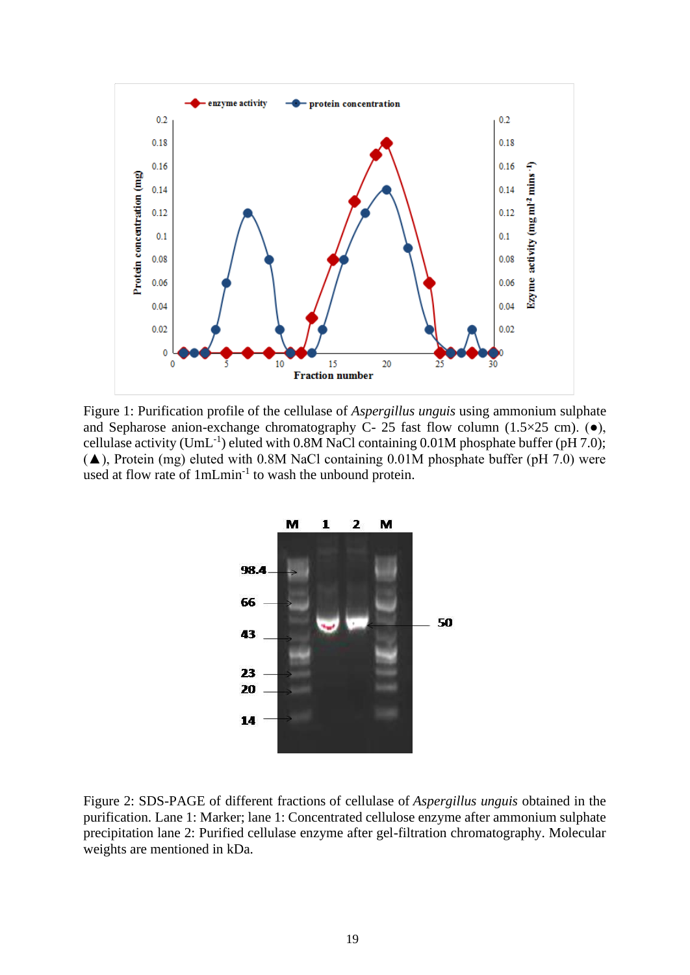

Figure 1: Purification profile of the cellulase of *Aspergillus unguis* using ammonium sulphate and Sepharose anion-exchange chromatography C- 25 fast flow column (1.5 $\times$ 25 cm). ( $\bullet$ ), cellulase activity (UmL<sup>-1</sup>) eluted with  $0.8M$  NaCl containing  $0.01M$  phosphate buffer (pH 7.0);  $(\triangle)$ , Protein (mg) eluted with 0.8M NaCl containing 0.01M phosphate buffer (pH 7.0) were used at flow rate of 1mLmin<sup>-1</sup> to wash the unbound protein.



Figure 2: SDS-PAGE of different fractions of cellulase of *Aspergillus unguis* obtained in the purification. Lane 1: Marker; lane 1: Concentrated cellulose enzyme after ammonium sulphate precipitation lane 2: Purified cellulase enzyme after gel-filtration chromatography. Molecular weights are mentioned in kDa.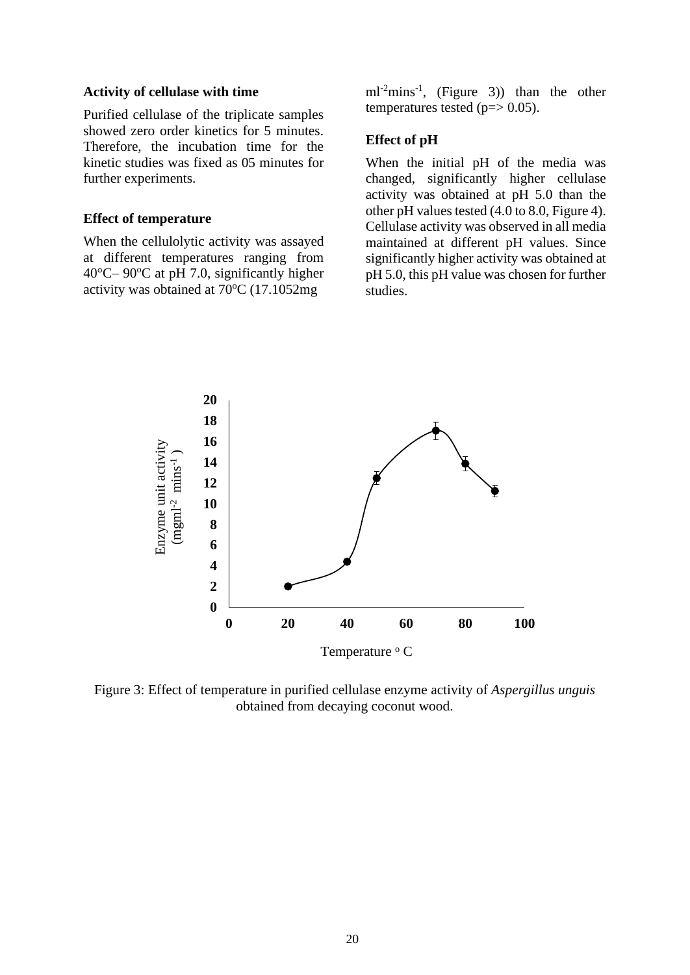#### **Activity of cellulase with time**

Purified cellulase of the triplicate samples showed zero order kinetics for 5 minutes. Therefore, the incubation time for the kinetic studies was fixed as 05 minutes for further experiments.

#### **Effect of temperature**

When the cellulolytic activity was assayed at different temperatures ranging from  $40^{\circ}$ C–  $90^{\circ}$ C at pH 7.0, significantly higher activity was obtained at  $70^{\circ}$ C (17.1052mg)

 $ml^{-2}$ mins<sup>-1</sup>, (Figure 3)) than the other temperatures tested ( $p = > 0.05$ ).

#### **Effect of pH**

When the initial pH of the media was changed, significantly higher cellulase activity was obtained at pH 5.0 than the other pH values tested (4.0 to 8.0, Figure 4). Cellulase activity was observed in all media maintained at different pH values. Since significantly higher activity was obtained at pH 5.0, this pH value was chosen for further studies.



Figure 3: Effect of temperature in purified cellulase enzyme activity of *Aspergillus unguis* obtained from decaying coconut wood.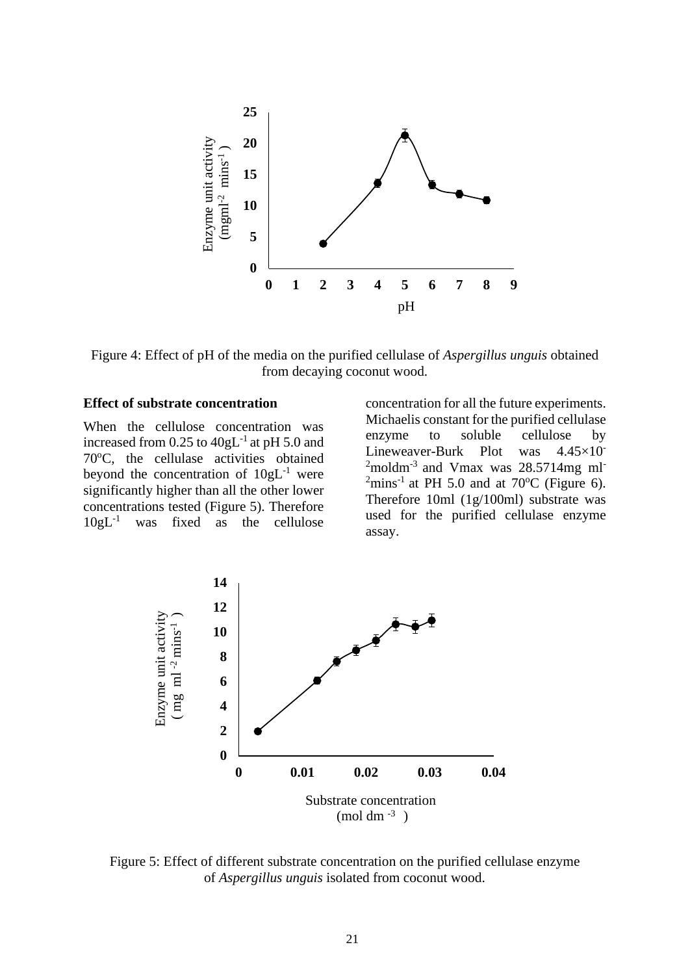

Figure 4: Effect of pH of the media on the purified cellulase of *Aspergillus unguis* obtained from decaying coconut wood.

#### **Effect of substrate concentration**

When the cellulose concentration was increased from  $0.25$  to  $40gL^{-1}$  at pH 5.0 and 70°C, the cellulase activities obtained beyond the concentration of  $10gL^{-1}$  were significantly higher than all the other lower concentrations tested (Figure 5). Therefore  $10gL^{-1}$ was fixed as the cellulose

concentration for all the future experiments. Michaelis constant for the purified cellulase enzyme to soluble cellulose by Lineweaver-Burk Plot was 4.45×10-  $2$ moldm<sup>-3</sup> and Vmax was 28.5714mg ml<sup>-</sup>  $\frac{20.571 \text{ mJ}}{2 \text{ mins}^1}$  at PH 5.0 and at 70<sup>o</sup>C (Figure 6). Therefore 10ml (1g/100ml) substrate was used for the purified cellulase enzyme assay.



Figure 5: Effect of different substrate concentration on the purified cellulase enzyme of *Aspergillus unguis* isolated from coconut wood.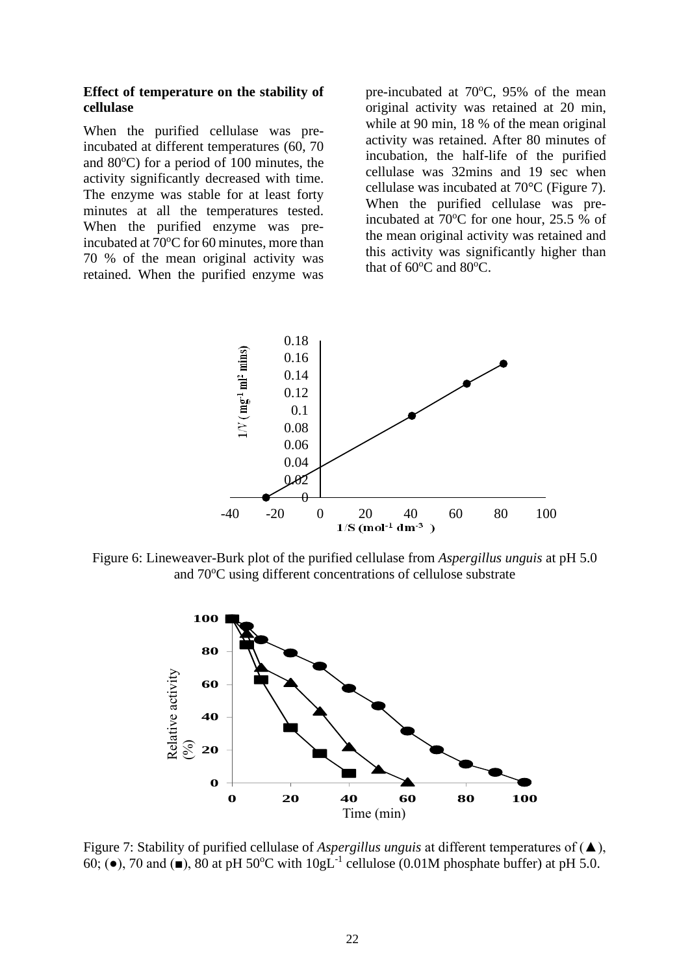#### **Effect of temperature on the stability of cellulase**

When the purified cellulase was preincubated at different temperatures (60, 70 and  $80^{\circ}$ C) for a period of 100 minutes, the activity significantly decreased with time. The enzyme was stable for at least forty minutes at all the temperatures tested. When the purified enzyme was preincubated at 70°C for 60 minutes, more than 70 % of the mean original activity was retained. When the purified enzyme was

pre-incubated at 70°C, 95% of the mean original activity was retained at 20 min, while at 90 min, 18 % of the mean original activity was retained. After 80 minutes of incubation, the half-life of the purified cellulase was 32mins and 19 sec when cellulase was incubated at 70°C (Figure 7). When the purified cellulase was preincubated at  $70^{\circ}$ C for one hour, 25.5 % of the mean original activity was retained and this activity was significantly higher than that of 60°C and 80°C.



Figure 6: Lineweaver-Burk plot of the purified cellulase from *Aspergillus unguis* at pH 5.0 and 70°C using different concentrations of cellulose substrate



Figure 7: Stability of purified cellulase of *Aspergillus unguis* at different temperatures of (▲), 60; ( $\bullet$ ), 70 and ( $\bullet$ ), 80 at pH 50°C with 10gL<sup>-1</sup> cellulose (0.01M phosphate buffer) at pH 5.0.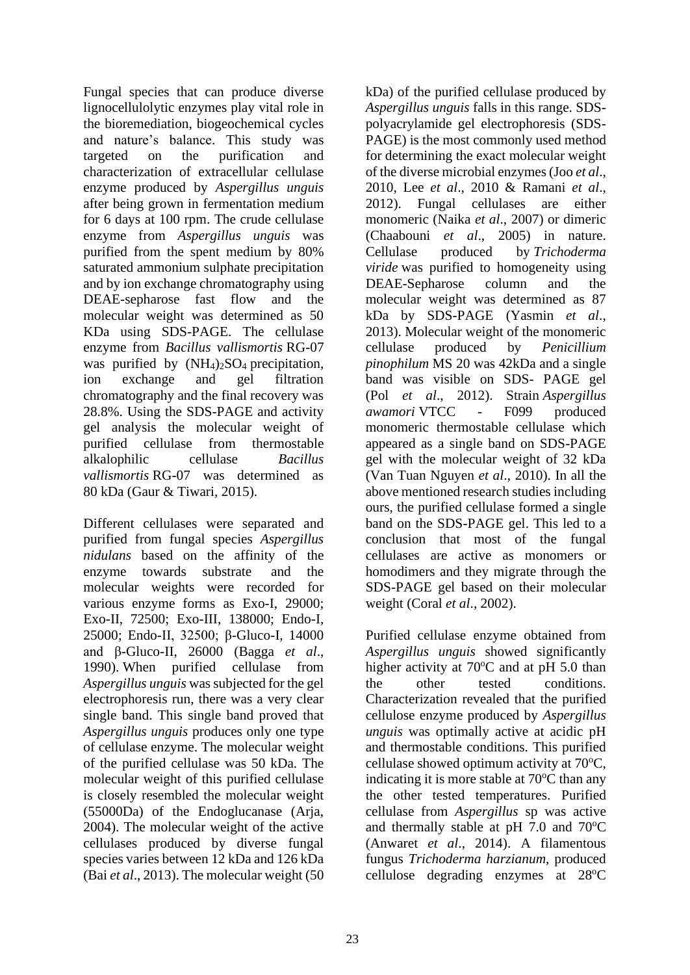Fungal species that can produce diverse lignocellulolytic enzymes play vital role in the bioremediation, biogeochemical cycles and nature's balance. This study was targeted on the purification and characterization of extracellular cellulase enzyme produced by *Aspergillus unguis*  after being grown in fermentation medium for 6 days at 100 rpm. The crude cellulase enzyme from *Aspergillus unguis* was purified from the spent medium by 80% saturated ammonium sulphate precipitation and by ion exchange chromatography using DEAE-sepharose fast flow and the molecular weight was determined as 50 KDa using SDS-PAGE. The cellulase enzyme from *Bacillus vallismortis* RG-07 was purified by  $(NH_4)_2SO_4$  precipitation, ion exchange and gel filtration chromatography and the final recovery was 28.8%. Using the SDS-PAGE and activity gel analysis the molecular weight of purified cellulase from thermostable alkalophilic cellulase *Bacillus vallismortis* RG-07 was determined as 80 kDa (Gaur & Tiwari, 2015).

Different cellulases were separated and purified from fungal species *Aspergillus nidulans* based on the affinity of the enzyme towards substrate and the molecular weights were recorded for various enzyme forms as Exo-I, 29000; Exo-II, 72500; Exo-III, 138000; Endo-I, 25000; Endo-II, 32500; β-Gluco-I, 14000 and β-Gluco-II, 26000 (Bagga *et al*., 1990). When purified cellulase from *Aspergillus unguis* was subjected for the gel electrophoresis run, there was a very clear single band. This single band proved that *Aspergillus unguis* produces only one type of cellulase enzyme. The molecular weight of the purified cellulase was 50 kDa. The molecular weight of this purified cellulase is closely resembled the molecular weight (55000Da) of the Endoglucanase (Arja, 2004). The molecular weight of the active cellulases produced by diverse fungal species varies between 12 kDa and 126 kDa (Bai *et al*., 2013). The molecular weight (50 kDa) of the purified cellulase produced by *Aspergillus unguis* falls in this range. SDSpolyacrylamide gel electrophoresis (SDS-PAGE) is the most commonly used method for determining the exact molecular weight of the diverse microbial enzymes (Joo *et al*., 2010, Lee *et al*., 2010 & Ramani *et al*., 2012). Fungal cellulases are either monomeric (Naika *et al*., 2007) or dimeric (Chaabouni *et al*., 2005) in nature. Cellulase produced by *Trichoderma viride* was purified to homogeneity using DEAE-Sepharose column and the molecular weight was determined as 87 kDa by SDS-PAGE (Yasmin *et al*., 2013). Molecular weight of the monomeric cellulase produced by *Penicillium pinophilum* MS 20 was 42kDa and a single band was visible on SDS- PAGE gel (Pol *et al*., 2012). Strain *Aspergillus awamori* VTCC - F099 produced monomeric thermostable cellulase which appeared as a single band on SDS-PAGE gel with the molecular weight of 32 kDa (Van Tuan Nguyen *et al*., 2010). In all the above mentioned research studies including ours, the purified cellulase formed a single band on the SDS-PAGE gel. This led to a conclusion that most of the fungal cellulases are active as monomers or homodimers and they migrate through the SDS-PAGE gel based on their molecular weight (Coral *et al*., 2002).

Purified cellulase enzyme obtained from *Aspergillus unguis* showed significantly higher activity at  $70^{\circ}$ C and at pH 5.0 than the other tested conditions. Characterization revealed that the purified cellulose enzyme produced by *Aspergillus unguis* was optimally active at acidic pH and thermostable conditions. This purified cellulase showed optimum activity at  $70^{\circ}$ C, indicating it is more stable at  $70^{\circ}$ C than any the other tested temperatures. Purified cellulase from *Aspergillus* sp was active and thermally stable at pH  $7.0$  and  $70^{\circ}$ C (Anwaret *et al*., 2014). A filamentous fungus *Trichoderma harzianum*, produced cellulose degrading enzymes at  $28^{\circ}$ C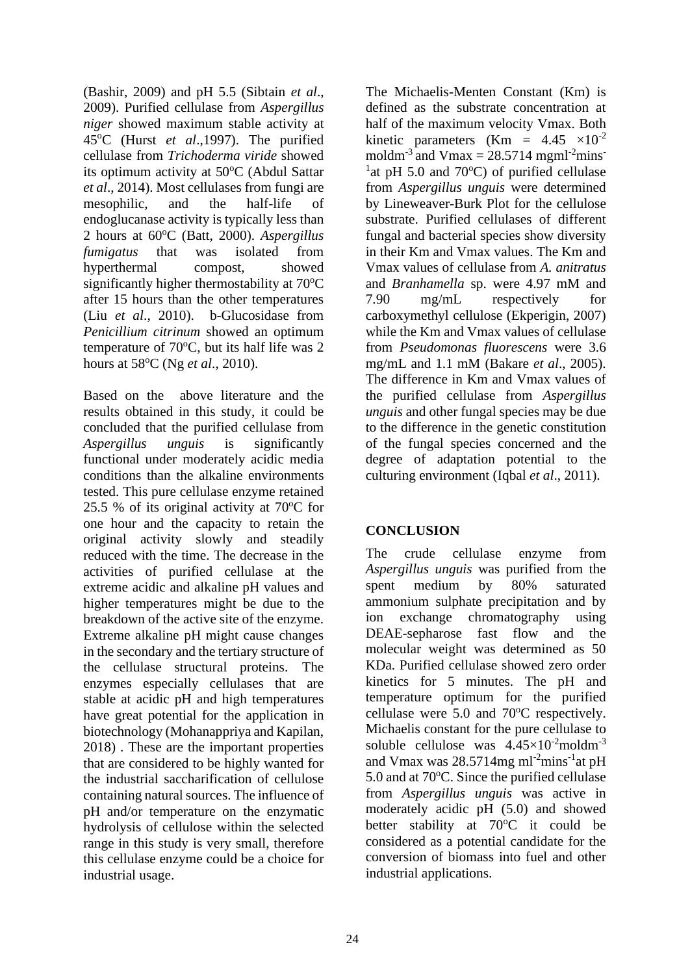(Bashir, 2009) and pH 5.5 (Sibtain *et al*., 2009). Purified cellulase from *Aspergillus niger* showed maximum stable activity at 45<sup>o</sup>C (Hurst *et al*.,1997). The purified cellulase from *Trichoderma viride* showed its optimum activity at 50°C (Abdul Sattar *et al*., 2014). Most cellulases from fungi are mesophilic, and the half-life of endoglucanase activity is typically less than 2 hours at 60<sup>o</sup>C (Batt, 2000). *Aspergillus fumigatus* that was isolated from hyperthermal compost, showed significantly higher thermostability at  $70^{\circ}$ C after 15 hours than the other temperatures (Liu *et al*., 2010). b-Glucosidase from *Penicillium citrinum* showed an optimum temperature of  $70^{\circ}$ C, but its half life was 2 hours at 58<sup>o</sup>C (Ng *et al*., 2010).

Based on the above literature and the results obtained in this study, it could be concluded that the purified cellulase from *Aspergillus unguis* is significantly functional under moderately acidic media conditions than the alkaline environments tested. This pure cellulase enzyme retained 25.5 % of its original activity at  $70^{\circ}$ C for one hour and the capacity to retain the original activity slowly and steadily reduced with the time. The decrease in the activities of purified cellulase at the extreme acidic and alkaline pH values and higher temperatures might be due to the breakdown of the active site of the enzyme. Extreme alkaline pH might cause changes in the secondary and the tertiary structure of the cellulase structural proteins. The enzymes especially cellulases that are stable at acidic pH and high temperatures have great potential for the application in biotechnology (Mohanappriya and Kapilan, 2018) . These are the important properties that are considered to be highly wanted for the industrial saccharification of cellulose containing natural sources. The influence of pH and/or temperature on the enzymatic hydrolysis of cellulose within the selected range in this study is very small, therefore this cellulase enzyme could be a choice for industrial usage.

The Michaelis-Menten Constant (Km) is defined as the substrate concentration at half of the maximum velocity Vmax. Both kinetic parameters (Km =  $4.45 \times 10^{-2}$ ) moldm<sup>-3</sup> and Vmax =  $28.5714$  mgml<sup>-2</sup>mins<sup>-</sup> <sup>1</sup> at pH 5.0 and 70 $^{\circ}$ C) of purified cellulase from *Aspergillus unguis* were determined by Lineweaver-Burk Plot for the cellulose substrate. Purified cellulases of different fungal and bacterial species show diversity in their Km and Vmax values. The Km and Vmax values of cellulase from *A. anitratus*  and *Branhamella* sp. were 4.97 mM and 7.90 mg/mL respectively for carboxymethyl cellulose (Ekperigin, 2007) while the Km and Vmax values of cellulase from *Pseudomonas fluorescens* were 3.6 mg/mL and 1.1 mM (Bakare *et al*., 2005). The difference in Km and Vmax values of the purified cellulase from *Aspergillus unguis* and other fungal species may be due to the difference in the genetic constitution of the fungal species concerned and the degree of adaptation potential to the culturing environment (Iqbal *et al*., 2011).

### **CONCLUSION**

The crude cellulase enzyme from *Aspergillus unguis* was purified from the spent medium by 80% saturated ammonium sulphate precipitation and by ion exchange chromatography using DEAE-sepharose fast flow and the molecular weight was determined as 50 KDa. Purified cellulase showed zero order kinetics for 5 minutes. The pH and temperature optimum for the purified cellulase were  $5.0$  and  $70^{\circ}$ C respectively. Michaelis constant for the pure cellulase to soluble cellulose was  $4.45 \times 10^{-2}$ moldm<sup>-3</sup> and Vmax was 28.5714mg ml<sup>-2</sup>mins<sup>-1</sup>at pH 5.0 and at 70°C. Since the purified cellulase from *Aspergillus unguis* was active in moderately acidic pH (5.0) and showed better stability at 70°C it could be considered as a potential candidate for the conversion of biomass into fuel and other industrial applications.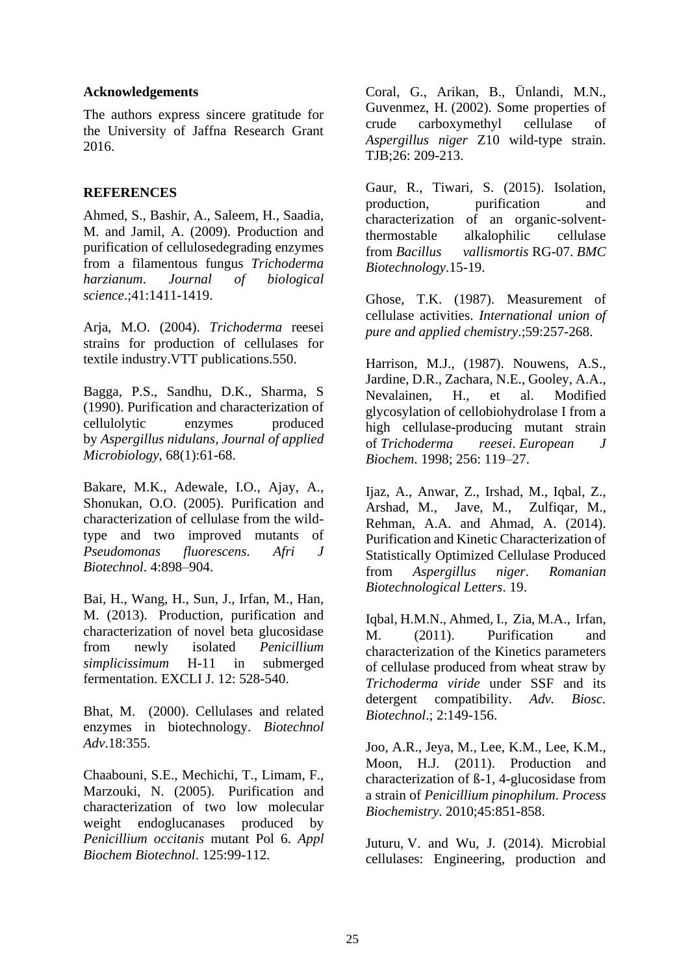#### **Acknowledgements**

The authors express sincere gratitude for the University of Jaffna Research Grant 2016.

#### **REFERENCES**

Ahmed, S., Bashir, A., Saleem, H., Saadia, M. and Jamil, A. (2009). Production and purification of cellulosedegrading enzymes from a filamentous fungus *Trichoderma harzianum*. *Journal of biological science*.;41:1411-1419.

Arja, M.O. (2004). *Trichoderma* reesei strains for production of cellulases for textile industry.VTT publications.550.

Bagga, P.S., Sandhu, D.K., Sharma, S (1990). Purification and characterization of cellulolytic enzymes produced by *Aspergillus nidulans, Journal of applied Microbiology*, 68(1):61-68.

Bakare, M.K., Adewale, I.O., Ajay, A., Shonukan, O.O. (2005). Purification and characterization of cellulase from the wildtype and two improved mutants of *Pseudomonas fluorescens*. *Afri J Biotechnol*. 4:898–904.

Bai, H., Wang, H., Sun, J., Irfan, M., Han, M. (2013). [Production, purification and](https://www.ncbi.nlm.nih.gov/pubmed/26609283)  [characterization of novel beta glucosidase](https://www.ncbi.nlm.nih.gov/pubmed/26609283)  [from newly isolated](https://www.ncbi.nlm.nih.gov/pubmed/26609283) *Penicillium simplicissimum* [H-11 in submerged](https://www.ncbi.nlm.nih.gov/pubmed/26609283)  [fermentation. EXCLI J. 12: 528-540.](https://www.ncbi.nlm.nih.gov/pubmed/26609283)

Bhat, M. (2000). Cellulases and related enzymes in biotechnology. *Biotechnol Adv*.18:355.

Chaabouni, S.E., Mechichi, T., Limam, F., Marzouki, N. (2005). [Purification and](https://www.ncbi.nlm.nih.gov/pubmed/15858234)  [characterization of two low molecular](https://www.ncbi.nlm.nih.gov/pubmed/15858234)  [weight endoglucanases produced by](https://www.ncbi.nlm.nih.gov/pubmed/15858234)  *[Penicillium occitanis](https://www.ncbi.nlm.nih.gov/pubmed/15858234)* mutant Pol 6. *Appl [Biochem Biotechnol](https://www.ncbi.nlm.nih.gov/pubmed/15858234)*. 125:99-112.

Coral, G., Arikan, B., Ünlandi, M.N., Guvenmez, H. [\(2002\). Some properties of](http://dergipark.ulakbim.gov.tr/tbtkbiology/article/viewFile/5000021793/5000022034)  [crude carboxymethyl cellulase of](http://dergipark.ulakbim.gov.tr/tbtkbiology/article/viewFile/5000021793/5000022034)  *Aspergillus niger* [Z10 wild-type strain.](http://dergipark.ulakbim.gov.tr/tbtkbiology/article/viewFile/5000021793/5000022034)  [TJB;26: 209-213.](http://dergipark.ulakbim.gov.tr/tbtkbiology/article/viewFile/5000021793/5000022034)

Gaur, R., Tiwari, S. (2015). Isolation, production, purification and characterization of an organic-solventthermostable alkalophilic cellulase from *Bacillus vallismortis* RG-07. *BMC Biotechnology*.15-19.

Ghose, T.K. (1987). Measurement of cellulase activities. *International union of pure and applied chemistry*.;59:257-268.

Harrison, M.J., (1987). Nouwens, A.S., Jardine, D.R., Zachara, N.E., Gooley, A.A., Nevalainen, H., et al. Modified glycosylation of cellobiohydrolase I from a high cellulase-producing mutant strain of *Trichoderma reesei*. *European J Biochem*. 1998; 256: 119–27.

Ijaz, A., Anwar, Z., Irshad, M., Iqbal, Z., Arshad, M., Jave, M., Zulfiqar, M., Rehman, A.A. and Ahmad, A. (2014). Purification and Kinetic Characterization of Statistically Optimized Cellulase Produced from *Aspergillus niger*. *Romanian Biotechnological Letters*. 19.

Iqbal, H.M.N., Ahmed, I., Zia, M.A., Irfan, M. (2011). Purification and characterization of the Kinetics parameters of cellulase produced from wheat straw by *Trichoderma viride* under SSF and its detergent compatibility. *Adv. Biosc. Biotechnol*.; 2:149-156.

Joo, A.R., Jeya, M., Lee, K.M., Lee, K.M., Moon, H.J. (2011). [Production and](http://www.sciencedirect.com/science/article/pii/S1359511310000437)  [characterization of ß-1, 4-glucosidase from](http://www.sciencedirect.com/science/article/pii/S1359511310000437)  a strain of *[Penicillium pinophilum](http://www.sciencedirect.com/science/article/pii/S1359511310000437)*. *Process Biochemistry*[. 2010;45:851-858.](http://www.sciencedirect.com/science/article/pii/S1359511310000437)

Juturu, V. and Wu, J. (2014). Microbial cellulases: Engineering, production and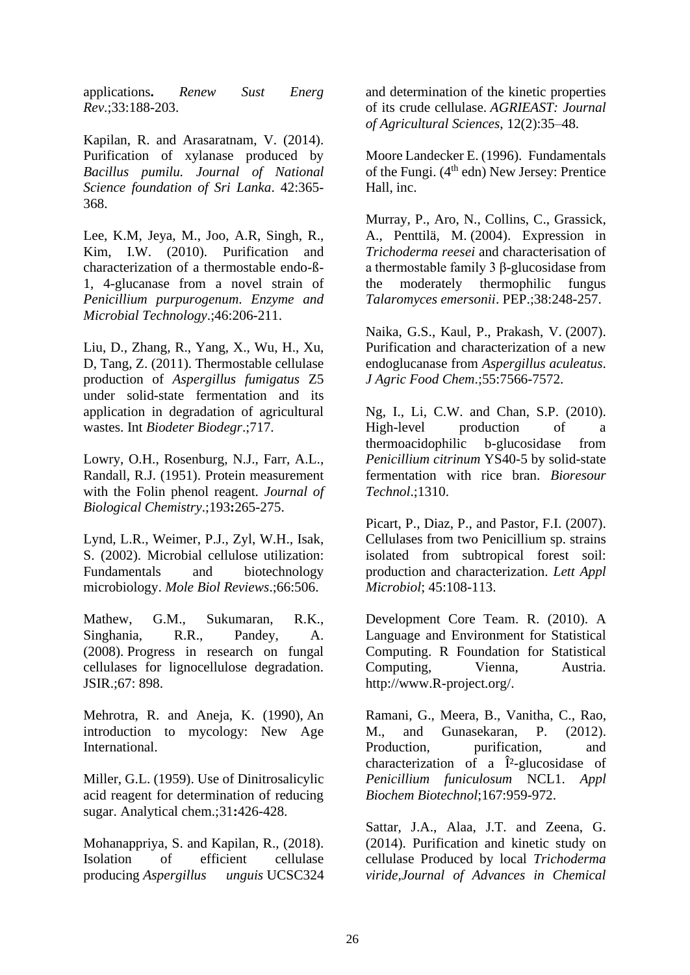applications**.** *Renew Sust Energ Rev*.;33:188-203.

Kapilan, R. and Arasaratnam, V. (2014). Purification of xylanase produced by *Bacillus pumilu. Journal of National Science foundation of Sri Lanka*. 42:365- 368.

Lee, K.M, Jeya, M., Joo, A.R, Singh, R., Kim, I.W. (2010). [Purification and](http://www.cheric.org/research/tech/periodicals/view.php?seq=861962)  [characterization of a thermostable endo-ß-](http://www.cheric.org/research/tech/periodicals/view.php?seq=861962)[1, 4-glucanase from a novel strain of](http://www.cheric.org/research/tech/periodicals/view.php?seq=861962)  *[Penicillium purpurogenum](http://www.cheric.org/research/tech/periodicals/view.php?seq=861962)*. *Enzyme and [Microbial Technology](http://www.cheric.org/research/tech/periodicals/view.php?seq=861962)*.;46:206-211.

Liu, D., Zhang, R., Yang, X., Wu, H., Xu, D, Tang, Z. (2011). Thermostable cellulase production of *Aspergillus fumigatus* Z5 under solid-state fermentation and its application in degradation of agricultural wastes. Int *Biodeter Biodegr*.;717.

Lowry, O.H., Rosenburg, N.J., Farr, A.L., Randall, R.J. (1951). Protein measurement with the Folin phenol reagent. *Journal of Biological Chemistry*.;193**:**265-275.

Lynd, L.R., Weimer, P.J., Zyl, W.H., Isak, S. (2002). Microbial cellulose utilization: Fundamentals and biotechnology microbiology. *Mole Biol Reviews*.;66:506.

Mathew, G.M., Sukumaran, R.K., Singhania, R.R., Pandey, A. (2008). [Progress in research on fungal](http://nopr.niscair.res.in/bitstream/123456789/2417/1/JSIR%2067%2811%29%20898-907.pdf)  [cellulases for lignocellulose degradation.](http://nopr.niscair.res.in/bitstream/123456789/2417/1/JSIR%2067%2811%29%20898-907.pdf)  [JSIR.;67: 898.](http://nopr.niscair.res.in/bitstream/123456789/2417/1/JSIR%2067%2811%29%20898-907.pdf)

Mehrotra, R. and Aneja, K. (1990), [An](http://www.newagepublishers.com/servlet/nagetbiblio?bno=000044)  [introduction to mycology: New Age](http://www.newagepublishers.com/servlet/nagetbiblio?bno=000044)  [International.](http://www.newagepublishers.com/servlet/nagetbiblio?bno=000044)

Miller, G.L. (1959). Use of Dinitrosalicylic acid reagent for determination of reducing sugar. Analytical chem.;31**:**426-428.

Mohanappriya, S. and Kapilan, R., (2018). Isolation of efficient cellulase producing *Aspergillus unguis* UCSC324 and determination of the kinetic properties of its crude cellulase. *AGRIEAST: Journal of Agricultural Sciences*, 12(2):35–48.

Moore Landecker E. (1996). [Fundamentals](https://www.amazon.com/Fundamentals-Fungi-Edition-Elizabeth-Moore-Landecker/dp/0133768643)  of the Fungi.  $(4<sup>th</sup>$  edn) New Jersey: Prentice [Hall, inc.](https://www.amazon.com/Fundamentals-Fungi-Edition-Elizabeth-Moore-Landecker/dp/0133768643)

Murray, P., Aro, N., Collins, C., Grassick, A., Penttilä, M. [\(2004\). Expression in](https://www.ncbi.nlm.nih.gov/pubmed/15555940)  *Trichoderma reesei* [and characterisation of](https://www.ncbi.nlm.nih.gov/pubmed/15555940)  [a thermostable family 3 β-glucosidase from](https://www.ncbi.nlm.nih.gov/pubmed/15555940)  [the moderately thermophilic fungus](https://www.ncbi.nlm.nih.gov/pubmed/15555940)  *[Talaromyces emersonii](https://www.ncbi.nlm.nih.gov/pubmed/15555940)*. PEP.;38:248-257.

Naika, G.S., Kaul, P., Prakash, V. [\(2007\).](https://www.ncbi.nlm.nih.gov/pubmed/17685540)  [Purification and characterization of a new](https://www.ncbi.nlm.nih.gov/pubmed/17685540)  endoglucanase from *[Aspergillus aculeatus](https://www.ncbi.nlm.nih.gov/pubmed/17685540)*. *[J Agric Food Chem](https://www.ncbi.nlm.nih.gov/pubmed/17685540)*.;55:7566-7572.

Ng, I., Li, C.W. and Chan, S.P. (2010). High-level production of a thermoacidophilic b-glucosidase from *Penicillium citrinum* YS40-5 by solid-state fermentation with rice bran. *Bioresour Technol*.;1310.

Picart, P., Diaz, P., and Pastor, F.I. (2007). [Cellulases from two Penicillium sp. strains](https://www.ncbi.nlm.nih.gov/pubmed/17594469)  [isolated from subtropical forest soil:](https://www.ncbi.nlm.nih.gov/pubmed/17594469)  [production and characterization.](https://www.ncbi.nlm.nih.gov/pubmed/17594469) *Lett Appl Microbiol*; [45:108-113.](https://www.ncbi.nlm.nih.gov/pubmed/17594469)

Development Core Team. R. (2010). A Language and Environment for Statistical Computing. R Foundation for Statistical Computing, Vienna, Austria. [http://www.R-project.org/.](http://www.r-project.org/)

Ramani, G., Meera, B., Vanitha, C., Rao, M., and Gunasekaran, P. (2012). Production, purification, and characterization of a  $\hat{I}^2$ -glucosidase of *[Penicillium funiculosum](https://www.ncbi.nlm.nih.gov/pubmed/22415789)* NCL1. *Appl [Biochem Biotechnol](https://www.ncbi.nlm.nih.gov/pubmed/22415789)*;167:959-972.

Sattar, J.A., Alaa, J.T. and Zeena, G. (2014). Purification and kinetic study on cellulase Produced by local *Trichoderma viride,Journal of Advances in Chemical*